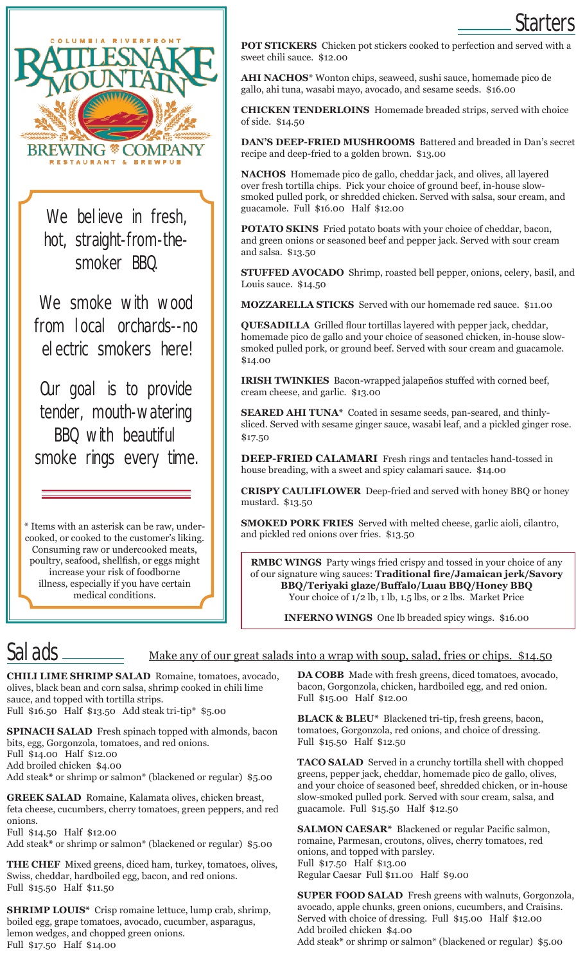

We believe in fresh, hot, straight-from-thesmoker BBQ.

We smoke with wood from local orchards--no electric smokers here!

Our goal is to provide tender, mouth-watering BBQ with beautiful smoke rings every time.

\* Items with an asterisk can be raw, undercooked, or cooked to the customer's liking. Consuming raw or undercooked meats, poultry, seafood, shellfish, or eggs might increase your risk of foodborne illness, especially if you have certain medical conditions.

**POT STICKERS** Chicken pot stickers cooked to perfection and served with a sweet chili sauce. \$12.00

Starters

**AHI NACHOS**\* Wonton chips, seaweed, sushi sauce, homemade pico de gallo, ahi tuna, wasabi mayo, avocado, and sesame seeds. \$16.00

**CHICKEN TENDERLOINS** Homemade breaded strips, served with choice of side. \$14.50

**DAN'S DEEP-FRIED MUSHROOMS** Battered and breaded in Dan's secret recipe and deep-fried to a golden brown. \$13.00

**NACHOS** Homemade pico de gallo, cheddar jack, and olives, all layered over fresh tortilla chips. Pick your choice of ground beef, in-house slowsmoked pulled pork, or shredded chicken. Served with salsa, sour cream, and guacamole. Full \$16.00 Half \$12.00

**POTATO SKINS** Fried potato boats with your choice of cheddar, bacon, and green onions or seasoned beef and pepper jack. Served with sour cream and salsa. \$13.50

**STUFFED AVOCADO** Shrimp, roasted bell pepper, onions, celery, basil, and Louis sauce. \$14.50

**MOZZARELLA STICKS** Served with our homemade red sauce. \$11.00

**QUESADILLA** Grilled flour tortillas layered with pepper jack, cheddar, homemade pico de gallo and your choice of seasoned chicken, in-house slowsmoked pulled pork, or ground beef. Served with sour cream and guacamole. \$14.00

**IRISH TWINKIES** Bacon-wrapped jalapeños stuffed with corned beef, cream cheese, and garlic. \$13.00

**SEARED AHI TUNA\*** Coated in sesame seeds, pan-seared, and thinlysliced. Served with sesame ginger sauce, wasabi leaf, and a pickled ginger rose. \$17.50

**DEEP-FRIED CALAMARI** Fresh rings and tentacles hand-tossed in house breading, with a sweet and spicy calamari sauce. \$14.00

**CRISPY CAULIFLOWER** Deep-fried and served with honey BBQ or honey mustard. \$13.50

**SMOKED PORK FRIES** Served with melted cheese, garlic aioli, cilantro, and pickled red onions over fries. \$13.50

**RMBC WINGS** Party wings fried crispy and tossed in your choice of any of our signature wing sauces: **Traditional fire/Jamaican jerk/Savory BBQ/Teriyaki glaze/Buffalo/Luau BBQ/Honey BBQ** Your choice of 1/2 lb, 1 lb, 1.5 lbs, or 2 lbs. Market Price

**INFERNO WINGS** One lb breaded spicy wings. \$16.00

# Salads

#### Make any of our great salads into a wrap with soup, salad, fries or chips. \$14.50

**CHILI LIME SHRIMP SALAD** Romaine, tomatoes, avocado, olives, black bean and corn salsa, shrimp cooked in chili lime sauce, and topped with tortilla strips. Full \$16.50 Half \$13.50 Add steak tri-tip\* \$5.00

**SPINACH SALAD** Fresh spinach topped with almonds, bacon bits, egg, Gorgonzola, tomatoes, and red onions. Full \$14.00 Half \$12.00 Add broiled chicken \$4.00 Add steak**\*** or shrimp or salmon\* (blackened or regular) \$5.00

**GREEK SALAD** Romaine, Kalamata olives, chicken breast, feta cheese, cucumbers, cherry tomatoes, green peppers, and red onions.

Full \$14.50 Half \$12.00

Add steak**\*** or shrimp or salmon\* (blackened or regular) \$5.00

**THE CHEF** Mixed greens, diced ham, turkey, tomatoes, olives, Swiss, cheddar, hardboiled egg, bacon, and red onions. Full \$15.50 Half \$11.50

**SHRIMP LOUIS\*** Crisp romaine lettuce, lump crab, shrimp, boiled egg, grape tomatoes, avocado, cucumber, asparagus, lemon wedges, and chopped green onions. Full \$17.50 Half \$14.00

**DA COBB** Made with fresh greens, diced tomatoes, avocado, bacon, Gorgonzola, chicken, hardboiled egg, and red onion. Full \$15.00 Half \$12.00

**BLACK & BLEU\*** Blackened tri-tip, fresh greens, bacon, tomatoes, Gorgonzola, red onions, and choice of dressing. Full \$15.50 Half \$12.50

**TACO SALAD** Served in a crunchy tortilla shell with chopped greens, pepper jack, cheddar, homemade pico de gallo, olives, and your choice of seasoned beef, shredded chicken, or in-house slow-smoked pulled pork. Served with sour cream, salsa, and guacamole. Full \$15.50 Half \$12.50

**SALMON CAESAR\*** Blackened or regular Pacific salmon, romaine, Parmesan, croutons, olives, cherry tomatoes, red onions, and topped with parsley. Full \$17.50 Half \$13.00 Regular Caesar Full \$11.00 Half \$9.00

**SUPER FOOD SALAD** Fresh greens with walnuts, Gorgonzola, avocado, apple chunks, green onions, cucumbers, and Craisins. Served with choice of dressing. Full \$15.00 Half \$12.00 Add broiled chicken \$4.00 Add steak**\*** or shrimp or salmon\* (blackened or regular) \$5.00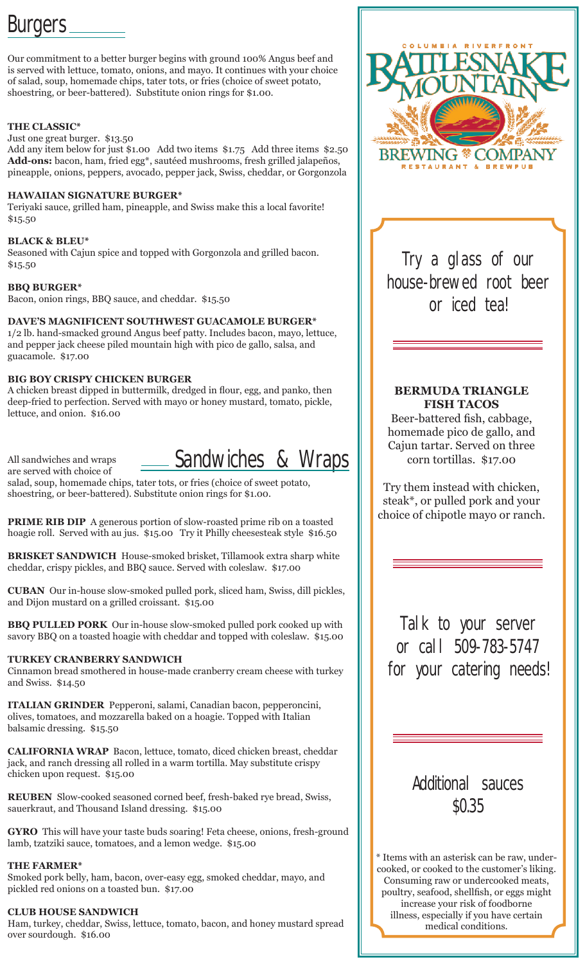# Burgers \_\_\_\_\_\_\_

Our commitment to a better burger begins with ground 100% Angus beef and is served with lettuce, tomato, onions, and mayo. It continues with your choice of salad, soup, homemade chips, tater tots, or fries (choice of sweet potato, shoestring, or beer-battered). Substitute onion rings for \$1.00.

## **THE CLASSIC\***

Just one great burger. \$13.50

Add any item below for just \$1.00 Add two items \$1.75 Add three items \$2.50 **Add-ons:** bacon, ham, fried egg\*, sautéed mushrooms, fresh grilled jalapeños, pineapple, onions, peppers, avocado, pepper jack, Swiss, cheddar, or Gorgonzola

# **HAWAIIAN SIGNATURE BURGER\***

Teriyaki sauce, grilled ham, pineapple, and Swiss make this a local favorite! \$15.50

## **BLACK & BLEU\***

Seasoned with Cajun spice and topped with Gorgonzola and grilled bacon. \$15.50

## **BBQ BURGER\***

Bacon, onion rings, BBQ sauce, and cheddar. \$15.50

# **DAVE'S MAGNIFICENT SOUTHWEST GUACAMOLE BURGER\***

1/2 lb. hand-smacked ground Angus beef patty. Includes bacon, mayo, lettuce, and pepper jack cheese piled mountain high with pico de gallo, salsa, and guacamole. \$17.00

# **BIG BOY CRISPY CHICKEN BURGER**

A chicken breast dipped in buttermilk, dredged in flour, egg, and panko, then deep-fried to perfection. Served with mayo or honey mustard, tomato, pickle, lettuce, and onion. \$16.00

All sandwiches and wraps

Sandwiches & Wraps

are served with choice of salad, soup, homemade chips, tater tots, or fries (choice of sweet potato, shoestring, or beer-battered). Substitute onion rings for \$1.00.

**PRIME RIB DIP** A generous portion of slow-roasted prime rib on a toasted hoagie roll. Served with au jus. \$15.00 Try it Philly cheesesteak style \$16.50

**BRISKET SANDWICH** House-smoked brisket, Tillamook extra sharp white cheddar, crispy pickles, and BBQ sauce. Served with coleslaw. \$17.00

**CUBAN** Our in-house slow-smoked pulled pork, sliced ham, Swiss, dill pickles, and Dijon mustard on a grilled croissant. \$15.00

**BBQ PULLED PORK** Our in-house slow-smoked pulled pork cooked up with savory BBQ on a toasted hoagie with cheddar and topped with coleslaw. \$15.00

# **TURKEY CRANBERRY SANDWICH**

Cinnamon bread smothered in house-made cranberry cream cheese with turkey and Swiss. \$14.50

**ITALIAN GRINDER** Pepperoni, salami, Canadian bacon, pepperoncini, olives, tomatoes, and mozzarella baked on a hoagie. Topped with Italian balsamic dressing. \$15.50

**CALIFORNIA WRAP** Bacon, lettuce, tomato, diced chicken breast, cheddar jack, and ranch dressing all rolled in a warm tortilla. May substitute crispy chicken upon request. \$15.00

**REUBEN** Slow-cooked seasoned corned beef, fresh-baked rye bread, Swiss, sauerkraut, and Thousand Island dressing. \$15.00

**GYRO** This will have your taste buds soaring! Feta cheese, onions, fresh-ground lamb, tzatziki sauce, tomatoes, and a lemon wedge. \$15.00

# **THE FARMER\***

Smoked pork belly, ham, bacon, over-easy egg, smoked cheddar, mayo, and pickled red onions on a toasted bun. \$17.00

# **CLUB HOUSE SANDWICH**

Ham, turkey, cheddar, Swiss, lettuce, tomato, bacon, and honey mustard spread over sourdough. \$16.00



Try a glass of our house-brewed root beer or iced tea!

# **BERMUDA TRIANGLE FISH TACOS**

Beer-battered fish, cabbage, homemade pico de gallo, and Cajun tartar. Served on three corn tortillas. \$17.00

Try them instead with chicken, steak\*, or pulled pork and your choice of chipotle mayo or ranch.

Talk to your server or call 509-783-5747 for your catering needs!

> Additional sauces \$0.35

\* Items with an asterisk can be raw, undercooked, or cooked to the customer's liking. Consuming raw or undercooked meats, poultry, seafood, shellfish, or eggs might increase your risk of foodborne illness, especially if you have certain medical conditions.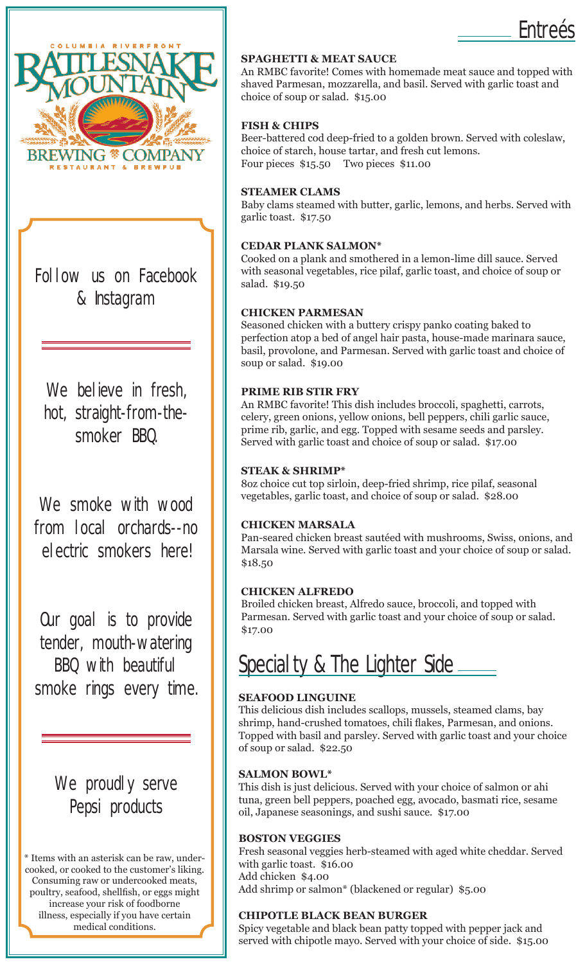

Follow us on Facebook & Instagram

We believe in fresh, hot, straight-from-thesmoker BBQ.

We smoke with wood from local orchards--no electric smokers here!

Our goal is to provide tender, mouth-watering BBQ with beautiful smoke rings every time.

> We proudly serve Pepsi products

\* Items with an asterisk can be raw, undercooked, or cooked to the customer's liking. Consuming raw or undercooked meats, poultry, seafood, shellfish, or eggs might increase your risk of foodborne illness, especially if you have certain medical conditions.

# **SPAGHETTI & MEAT SAUCE**

An RMBC favorite! Comes with homemade meat sauce and topped with shaved Parmesan, mozzarella, and basil. Served with garlic toast and choice of soup or salad. \$15.00

Entreés

#### **FISH & CHIPS**

Beer-battered cod deep-fried to a golden brown. Served with coleslaw, choice of starch, house tartar, and fresh cut lemons. Four pieces \$15.50 Two pieces \$11.00

#### **STEAMER CLAMS**

Baby clams steamed with butter, garlic, lemons, and herbs. Served with garlic toast. \$17.50

#### **CEDAR PLANK SALMON\***

Cooked on a plank and smothered in a lemon-lime dill sauce. Served with seasonal vegetables, rice pilaf, garlic toast, and choice of soup or salad. \$19.50

#### **CHICKEN PARMESAN**

Seasoned chicken with a buttery crispy panko coating baked to perfection atop a bed of angel hair pasta, house-made marinara sauce, basil, provolone, and Parmesan. Served with garlic toast and choice of soup or salad. \$19.00

#### **PRIME RIB STIR FRY**

An RMBC favorite! This dish includes broccoli, spaghetti, carrots, celery, green onions, yellow onions, bell peppers, chili garlic sauce, prime rib, garlic, and egg. Topped with sesame seeds and parsley. Served with garlic toast and choice of soup or salad. \$17.00

#### **STEAK & SHRIMP\***

8oz choice cut top sirloin, deep-fried shrimp, rice pilaf, seasonal vegetables, garlic toast, and choice of soup or salad. \$28.00

#### **CHICKEN MARSALA**

Pan-seared chicken breast sautéed with mushrooms, Swiss, onions, and Marsala wine. Served with garlic toast and your choice of soup or salad. \$18.50

#### **CHICKEN ALFREDO**

Broiled chicken breast, Alfredo sauce, broccoli, and topped with Parmesan. Served with garlic toast and your choice of soup or salad. \$17.00

Specialty & The Lighter Side \_\_\_\_\_\_

#### **SEAFOOD LINGUINE**

This delicious dish includes scallops, mussels, steamed clams, bay shrimp, hand-crushed tomatoes, chili flakes, Parmesan, and onions. Topped with basil and parsley. Served with garlic toast and your choice of soup or salad. \$22.50

#### **SALMON BOWL\***

This dish is just delicious. Served with your choice of salmon or ahi tuna, green bell peppers, poached egg, avocado, basmati rice, sesame oil, Japanese seasonings, and sushi sauce. \$17.00

#### **BOSTON VEGGIES**

Fresh seasonal veggies herb-steamed with aged white cheddar. Served with garlic toast. \$16.00 Add chicken \$4.00 Add shrimp or salmon\* (blackened or regular) \$5.00

#### **CHIPOTLE BLACK BEAN BURGER**

Spicy vegetable and black bean patty topped with pepper jack and served with chipotle mayo. Served with your choice of side. \$15.00